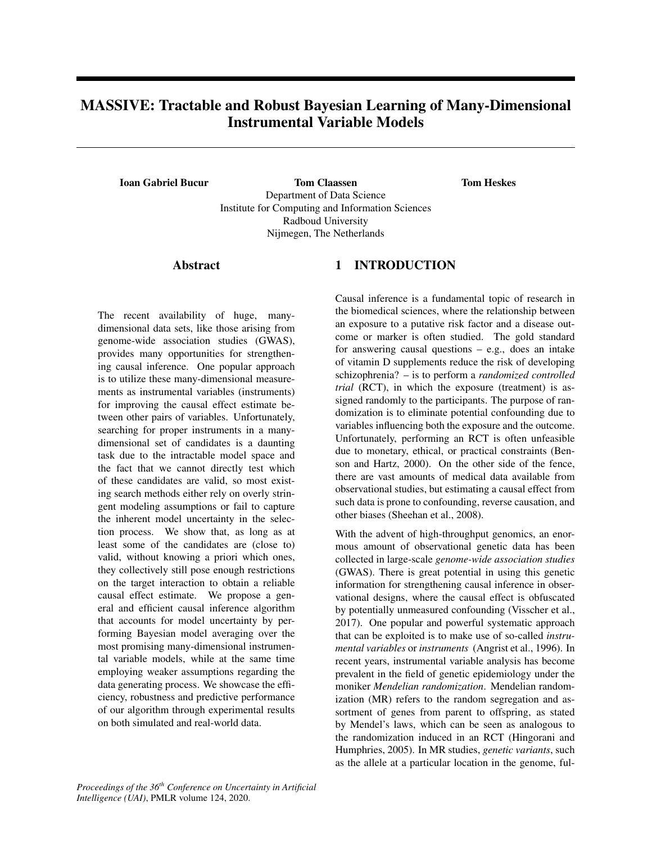# MASSIVE: Tractable and Robust Bayesian Learning of Many-Dimensional Instrumental Variable Models

Ioan Gabriel Bucur Tom Claassen Department of Data Science Institute for Computing and Information Sciences Radboud University Nijmegen, The Netherlands

Abstract

The recent availability of huge, manydimensional data sets, like those arising from genome-wide association studies (GWAS), provides many opportunities for strengthening causal inference. One popular approach is to utilize these many-dimensional measurements as instrumental variables (instruments) for improving the causal effect estimate between other pairs of variables. Unfortunately, searching for proper instruments in a manydimensional set of candidates is a daunting task due to the intractable model space and the fact that we cannot directly test which of these candidates are valid, so most existing search methods either rely on overly stringent modeling assumptions or fail to capture the inherent model uncertainty in the selection process. We show that, as long as at least some of the candidates are (close to) valid, without knowing a priori which ones, they collectively still pose enough restrictions on the target interaction to obtain a reliable causal effect estimate. We propose a general and efficient causal inference algorithm that accounts for model uncertainty by performing Bayesian model averaging over the most promising many-dimensional instrumental variable models, while at the same time employing weaker assumptions regarding the data generating process. We showcase the efficiency, robustness and predictive performance of our algorithm through experimental results on both simulated and real-world data.

# 1 INTRODUCTION

Causal inference is a fundamental topic of research in the biomedical sciences, where the relationship between an exposure to a putative risk factor and a disease outcome or marker is often studied. The gold standard for answering causal questions  $-$  e.g., does an intake of vitamin D supplements reduce the risk of developing schizophrenia? – is to perform a *randomized controlled trial* (RCT), in which the exposure (treatment) is assigned randomly to the participants. The purpose of randomization is to eliminate potential confounding due to variables influencing both the exposure and the outcome. Unfortunately, performing an RCT is often unfeasible due to monetary, ethical, or practical constraints (Benson and Hartz, 2000). On the other side of the fence, there are vast amounts of medical data available from observational studies, but estimating a causal effect from such data is prone to confounding, reverse causation, and other biases (Sheehan et al., 2008).

Tom Heskes

With the advent of high-throughput genomics, an enormous amount of observational genetic data has been collected in large-scale *genome-wide association studies* (GWAS). There is great potential in using this genetic information for strengthening causal inference in observational designs, where the causal effect is obfuscated by potentially unmeasured confounding (Visscher et al., 2017). One popular and powerful systematic approach that can be exploited is to make use of so-called *instrumental variables* or *instruments* (Angrist et al., 1996). In recent years, instrumental variable analysis has become prevalent in the field of genetic epidemiology under the moniker *Mendelian randomization*. Mendelian randomization (MR) refers to the random segregation and assortment of genes from parent to offspring, as stated by Mendel's laws, which can be seen as analogous to the randomization induced in an RCT (Hingorani and Humphries, 2005). In MR studies, *genetic variants*, such as the allele at a particular location in the genome, ful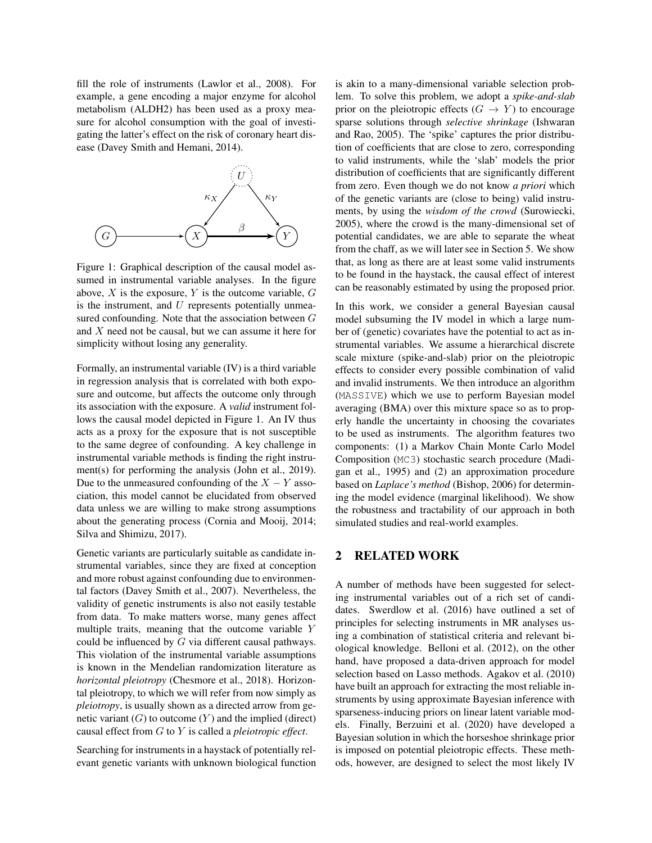fill the role of instruments (Lawlor et al., 2008). For example, a gene encoding a major enzyme for alcohol metabolism (ALDH2) has been used as a proxy measure for alcohol consumption with the goal of investigating the latter's effect on the risk of coronary heart disease (Davey Smith and Hemani, 2014).



Figure 1: Graphical description of the causal model assumed in instrumental variable analyses. In the figure above,  $X$  is the exposure,  $Y$  is the outcome variable,  $G$ is the instrument, and  $U$  represents potentially unmeasured confounding. Note that the association between G and X need not be causal, but we can assume it here for simplicity without losing any generality.

Formally, an instrumental variable (IV) is a third variable in regression analysis that is correlated with both exposure and outcome, but affects the outcome only through its association with the exposure. A *valid* instrument follows the causal model depicted in Figure 1. An IV thus acts as a proxy for the exposure that is not susceptible to the same degree of confounding. A key challenge in instrumental variable methods is finding the right instrument(s) for performing the analysis (John et al., 2019). Due to the unmeasured confounding of the  $X - Y$  association, this model cannot be elucidated from observed data unless we are willing to make strong assumptions about the generating process (Cornia and Mooij, 2014; Silva and Shimizu, 2017).

Genetic variants are particularly suitable as candidate instrumental variables, since they are fixed at conception and more robust against confounding due to environmental factors (Davey Smith et al., 2007). Nevertheless, the validity of genetic instruments is also not easily testable from data. To make matters worse, many genes affect multiple traits, meaning that the outcome variable Y could be influenced by G via different causal pathways. This violation of the instrumental variable assumptions is known in the Mendelian randomization literature as *horizontal pleiotropy* (Chesmore et al., 2018). Horizontal pleiotropy, to which we will refer from now simply as *pleiotropy*, is usually shown as a directed arrow from genetic variant  $(G)$  to outcome  $(Y)$  and the implied (direct) causal effect from G to Y is called a *pleiotropic effect*.

Searching for instruments in a haystack of potentially relevant genetic variants with unknown biological function is akin to a many-dimensional variable selection problem. To solve this problem, we adopt a *spike-and-slab* prior on the pleiotropic effects  $(G \rightarrow Y)$  to encourage sparse solutions through *selective shrinkage* (Ishwaran and Rao, 2005). The 'spike' captures the prior distribution of coefficients that are close to zero, corresponding to valid instruments, while the 'slab' models the prior distribution of coefficients that are significantly different from zero. Even though we do not know *a priori* which of the genetic variants are (close to being) valid instruments, by using the *wisdom of the crowd* (Surowiecki, 2005), where the crowd is the many-dimensional set of potential candidates, we are able to separate the wheat from the chaff, as we will later see in Section 5. We show that, as long as there are at least some valid instruments to be found in the haystack, the causal effect of interest can be reasonably estimated by using the proposed prior.

In this work, we consider a general Bayesian causal model subsuming the IV model in which a large number of (genetic) covariates have the potential to act as instrumental variables. We assume a hierarchical discrete scale mixture (spike-and-slab) prior on the pleiotropic effects to consider every possible combination of valid and invalid instruments. We then introduce an algorithm (MASSIVE) which we use to perform Bayesian model averaging (BMA) over this mixture space so as to properly handle the uncertainty in choosing the covariates to be used as instruments. The algorithm features two components: (1) a Markov Chain Monte Carlo Model Composition (MC3) stochastic search procedure (Madigan et al., 1995) and (2) an approximation procedure based on *Laplace's method* (Bishop, 2006) for determining the model evidence (marginal likelihood). We show the robustness and tractability of our approach in both simulated studies and real-world examples.

# 2 RELATED WORK

A number of methods have been suggested for selecting instrumental variables out of a rich set of candidates. Swerdlow et al. (2016) have outlined a set of principles for selecting instruments in MR analyses using a combination of statistical criteria and relevant biological knowledge. Belloni et al. (2012), on the other hand, have proposed a data-driven approach for model selection based on Lasso methods. Agakov et al. (2010) have built an approach for extracting the most reliable instruments by using approximate Bayesian inference with sparseness-inducing priors on linear latent variable models. Finally, Berzuini et al. (2020) have developed a Bayesian solution in which the horseshoe shrinkage prior is imposed on potential pleiotropic effects. These methods, however, are designed to select the most likely IV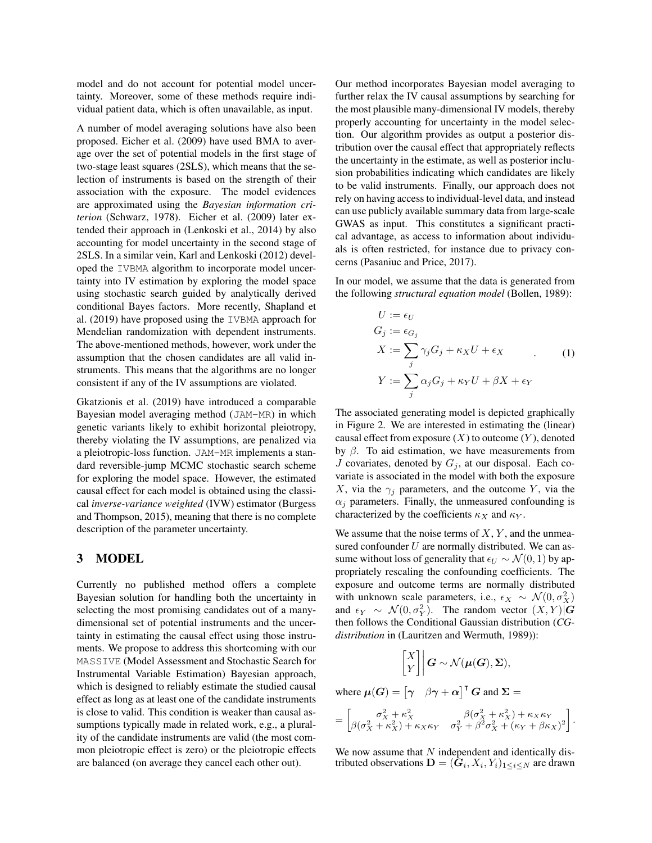model and do not account for potential model uncertainty. Moreover, some of these methods require individual patient data, which is often unavailable, as input.

A number of model averaging solutions have also been proposed. Eicher et al. (2009) have used BMA to average over the set of potential models in the first stage of two-stage least squares (2SLS), which means that the selection of instruments is based on the strength of their association with the exposure. The model evidences are approximated using the *Bayesian information criterion* (Schwarz, 1978). Eicher et al. (2009) later extended their approach in (Lenkoski et al., 2014) by also accounting for model uncertainty in the second stage of 2SLS. In a similar vein, Karl and Lenkoski (2012) developed the IVBMA algorithm to incorporate model uncertainty into IV estimation by exploring the model space using stochastic search guided by analytically derived conditional Bayes factors. More recently, Shapland et al. (2019) have proposed using the IVBMA approach for Mendelian randomization with dependent instruments. The above-mentioned methods, however, work under the assumption that the chosen candidates are all valid instruments. This means that the algorithms are no longer consistent if any of the IV assumptions are violated.

Gkatzionis et al. (2019) have introduced a comparable Bayesian model averaging method (JAM-MR) in which genetic variants likely to exhibit horizontal pleiotropy, thereby violating the IV assumptions, are penalized via a pleiotropic-loss function. JAM-MR implements a standard reversible-jump MCMC stochastic search scheme for exploring the model space. However, the estimated causal effect for each model is obtained using the classical *inverse-variance weighted* (IVW) estimator (Burgess and Thompson, 2015), meaning that there is no complete description of the parameter uncertainty.

### 3 MODEL

Currently no published method offers a complete Bayesian solution for handling both the uncertainty in selecting the most promising candidates out of a manydimensional set of potential instruments and the uncertainty in estimating the causal effect using those instruments. We propose to address this shortcoming with our MASSIVE (Model Assessment and Stochastic Search for Instrumental Variable Estimation) Bayesian approach, which is designed to reliably estimate the studied causal effect as long as at least one of the candidate instruments is close to valid. This condition is weaker than causal assumptions typically made in related work, e.g., a plurality of the candidate instruments are valid (the most common pleiotropic effect is zero) or the pleiotropic effects are balanced (on average they cancel each other out).

Our method incorporates Bayesian model averaging to further relax the IV causal assumptions by searching for the most plausible many-dimensional IV models, thereby properly accounting for uncertainty in the model selection. Our algorithm provides as output a posterior distribution over the causal effect that appropriately reflects the uncertainty in the estimate, as well as posterior inclusion probabilities indicating which candidates are likely to be valid instruments. Finally, our approach does not rely on having access to individual-level data, and instead can use publicly available summary data from large-scale GWAS as input. This constitutes a significant practical advantage, as access to information about individuals is often restricted, for instance due to privacy concerns (Pasaniuc and Price, 2017).

In our model, we assume that the data is generated from the following *structural equation model* (Bollen, 1989):

$$
U := \epsilon_U
$$
  
\n
$$
G_j := \epsilon_{G_j}
$$
  
\n
$$
X := \sum_j \gamma_j G_j + \kappa_X U + \epsilon_X
$$
  
\n
$$
Y := \sum_j \alpha_j G_j + \kappa_Y U + \beta X + \epsilon_Y
$$
\n(1)

The associated generating model is depicted graphically in Figure 2. We are interested in estimating the (linear) causal effect from exposure  $(X)$  to outcome  $(Y)$ , denoted by  $β$ . To aid estimation, we have measurements from J covariates, denoted by  $G_j$ , at our disposal. Each covariate is associated in the model with both the exposure X, via the  $\gamma_i$  parameters, and the outcome Y, via the  $\alpha_i$  parameters. Finally, the unmeasured confounding is characterized by the coefficients  $\kappa_X$  and  $\kappa_Y$ .

We assume that the noise terms of  $X, Y$ , and the unmeasured confounder  $U$  are normally distributed. We can assume without loss of generality that  $\epsilon_U \sim \mathcal{N}(0, 1)$  by appropriately rescaling the confounding coefficients. The exposure and outcome terms are normally distributed with unknown scale parameters, i.e.,  $\epsilon_X \sim \mathcal{N}(0, \sigma_X^2)$ and  $\epsilon_Y \sim \mathcal{N}(0, \sigma_Y^2)$ . The random vector  $(X, Y)|G$ then follows the Conditional Gaussian distribution (*CGdistribution* in (Lauritzen and Wermuth, 1989)):

$$
\begin{bmatrix} X \\ Y \end{bmatrix} \bigg| G \sim \mathcal{N}(\boldsymbol{\mu}(G), \boldsymbol{\Sigma}),
$$

where  $\mu(G) = \begin{bmatrix} \gamma & \beta \gamma + \alpha \end{bmatrix}^{\mathsf{T}} G$  and  $\Sigma =$ 

$$
= \begin{bmatrix} \sigma_X^2 + \kappa_X^2 & \beta(\sigma_X^2 + \kappa_X^2) + \kappa_X \kappa_Y \\ \beta(\sigma_X^2 + \kappa_X^2) + \kappa_X \kappa_Y & \sigma_Y^2 + \beta^2 \sigma_X^2 + (\kappa_Y + \beta \kappa_X)^2 \end{bmatrix}.
$$

We now assume that  $N$  independent and identically distributed observations  $\mathbf{D} = (\boldsymbol{G}_{i}, X_{i}, Y_{i})_{1\leq i \leq N}$  are drawn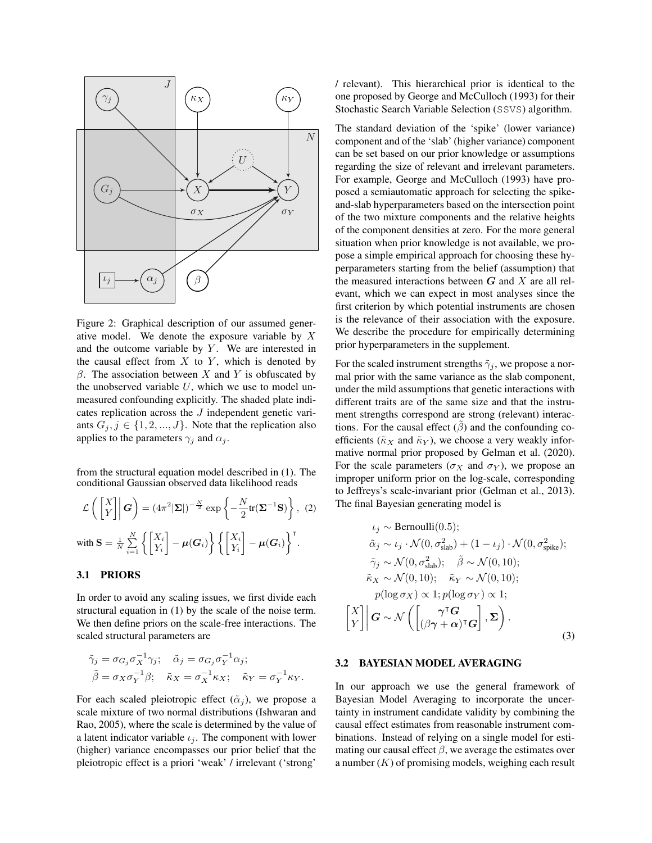

Figure 2: Graphical description of our assumed generative model. We denote the exposure variable by X and the outcome variable by  $Y$ . We are interested in the causal effect from  $X$  to  $Y$ , which is denoted by  $β$ . The association between X and Y is obfuscated by the unobserved variable  $U$ , which we use to model unmeasured confounding explicitly. The shaded plate indicates replication across the J independent genetic variants  $G_j, j \in \{1, 2, ..., J\}$ . Note that the replication also applies to the parameters  $\gamma_j$  and  $\alpha_j$ .

from the structural equation model described in (1). The conditional Gaussian observed data likelihood reads

$$
\mathcal{L}\left(\begin{bmatrix} X \\ Y \end{bmatrix} \middle| \mathbf{G}\right) = (4\pi^2 |\mathbf{\Sigma}|)^{-\frac{N}{2}} \exp\left\{-\frac{N}{2} \text{tr}(\mathbf{\Sigma}^{-1} \mathbf{S})\right\}, (2)
$$
  
with 
$$
\mathbf{S} = \frac{1}{N} \sum_{i=1}^{N} \left\{\begin{bmatrix} X_i \\ Y_i \end{bmatrix} - \boldsymbol{\mu}(\mathbf{G}_i) \right\} \left\{\begin{bmatrix} X_i \\ Y_i \end{bmatrix} - \boldsymbol{\mu}(\mathbf{G}_i) \right\}^{\mathsf{T}}.
$$

### 3.1 PRIORS

In order to avoid any scaling issues, we first divide each structural equation in (1) by the scale of the noise term. We then define priors on the scale-free interactions. The scaled structural parameters are

$$
\begin{aligned}\n\tilde{\gamma}_j &= \sigma_{G_j} \sigma_X^{-1} \gamma_j; \quad \tilde{\alpha}_j = \sigma_{G_j} \sigma_Y^{-1} \alpha_j; \\
\tilde{\beta} &= \sigma_X \sigma_Y^{-1} \beta; \quad \tilde{\kappa}_X = \sigma_X^{-1} \kappa_X; \quad \tilde{\kappa}_Y = \sigma_Y^{-1} \kappa_Y.\n\end{aligned}
$$

For each scaled pleiotropic effect  $(\tilde{\alpha}_i)$ , we propose a scale mixture of two normal distributions (Ishwaran and Rao, 2005), where the scale is determined by the value of a latent indicator variable  $\iota_i$ . The component with lower (higher) variance encompasses our prior belief that the pleiotropic effect is a priori 'weak' / irrelevant ('strong'

/ relevant). This hierarchical prior is identical to the one proposed by George and McCulloch (1993) for their Stochastic Search Variable Selection (SSVS) algorithm.

The standard deviation of the 'spike' (lower variance) component and of the 'slab' (higher variance) component can be set based on our prior knowledge or assumptions regarding the size of relevant and irrelevant parameters. For example, George and McCulloch (1993) have proposed a semiautomatic approach for selecting the spikeand-slab hyperparameters based on the intersection point of the two mixture components and the relative heights of the component densities at zero. For the more general situation when prior knowledge is not available, we propose a simple empirical approach for choosing these hyperparameters starting from the belief (assumption) that the measured interactions between  $G$  and  $X$  are all relevant, which we can expect in most analyses since the first criterion by which potential instruments are chosen is the relevance of their association with the exposure. We describe the procedure for empirically determining prior hyperparameters in the supplement.

For the scaled instrument strengths  $\tilde{\gamma}_i$ , we propose a normal prior with the same variance as the slab component, under the mild assumptions that genetic interactions with different traits are of the same size and that the instrument strengths correspond are strong (relevant) interactions. For the causal effect  $(\hat{\beta})$  and the confounding coefficients ( $\tilde{\kappa}_X$  and  $\tilde{\kappa}_Y$ ), we choose a very weakly informative normal prior proposed by Gelman et al. (2020). For the scale parameters ( $\sigma_X$  and  $\sigma_Y$ ), we propose an improper uniform prior on the log-scale, corresponding to Jeffreys's scale-invariant prior (Gelman et al., 2013). The final Bayesian generating model is

$$
\iota_j \sim \text{Bernoulli}(0.5);
$$
\n
$$
\tilde{\alpha}_j \sim \iota_j \cdot \mathcal{N}(0, \sigma_{\text{slab}}^2) + (1 - \iota_j) \cdot \mathcal{N}(0, \sigma_{\text{spike}}^2);
$$
\n
$$
\tilde{\gamma}_j \sim \mathcal{N}(0, \sigma_{\text{slab}}^2); \quad \tilde{\beta} \sim \mathcal{N}(0, 10);
$$
\n
$$
\tilde{\kappa}_X \sim \mathcal{N}(0, 10); \quad \tilde{\kappa}_Y \sim \mathcal{N}(0, 10);
$$
\n
$$
p(\log \sigma_X) \propto 1; p(\log \sigma_Y) \propto 1;
$$
\n
$$
\begin{bmatrix} X \\ Y \end{bmatrix} \mathbf{G} \sim \mathcal{N}\left(\begin{bmatrix} \gamma^{\mathsf{T}} \mathbf{G} \\ (\beta \gamma + \alpha)^{\mathsf{T}} \mathbf{G} \end{bmatrix}, \Sigma\right).
$$
\n(3)

#### 3.2 BAYESIAN MODEL AVERAGING

In our approach we use the general framework of Bayesian Model Averaging to incorporate the uncertainty in instrument candidate validity by combining the causal effect estimates from reasonable instrument combinations. Instead of relying on a single model for estimating our causal effect  $\beta$ , we average the estimates over a number  $(K)$  of promising models, weighing each result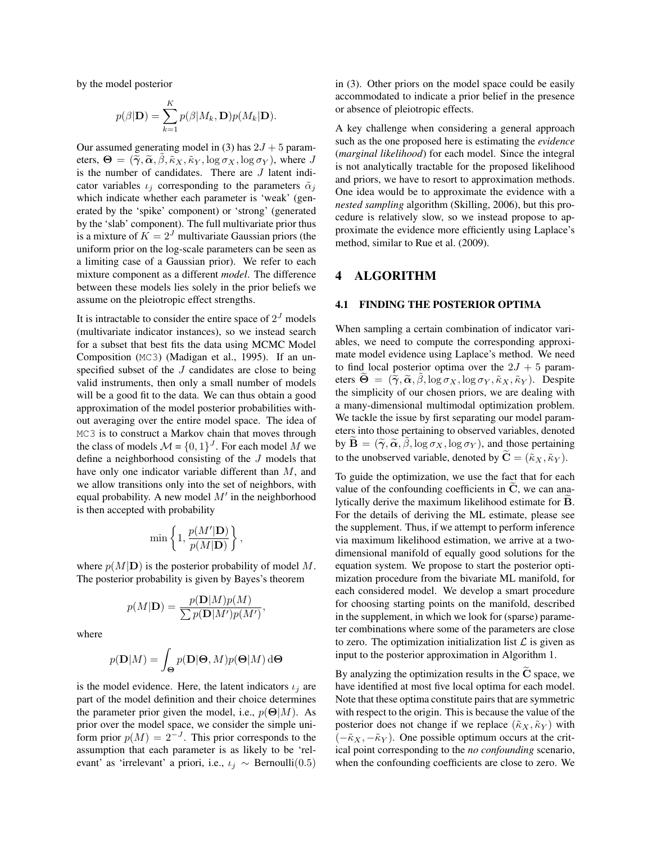by the model posterior

$$
p(\beta|\mathbf{D}) = \sum_{k=1}^{K} p(\beta|M_k, \mathbf{D}) p(M_k|\mathbf{D}).
$$

Our assumed generating model in (3) has  $2J + 5$  parameters,  $\Theta = (\tilde{\gamma}, \tilde{\alpha}, \beta, \tilde{\kappa}_X, \tilde{\kappa}_Y, \log \sigma_X, \log \sigma_Y)$ , where J is the number of candidates. There are  $J$  latent indicator variables  $\iota_j$  corresponding to the parameters  $\tilde{\alpha}_j$ which indicate whether each parameter is 'weak' (generated by the 'spike' component) or 'strong' (generated by the 'slab' component). The full multivariate prior thus is a mixture of  $K = 2<sup>J</sup>$  multivariate Gaussian priors (the uniform prior on the log-scale parameters can be seen as a limiting case of a Gaussian prior). We refer to each mixture component as a different *model*. The difference between these models lies solely in the prior beliefs we assume on the pleiotropic effect strengths.

It is intractable to consider the entire space of  $2<sup>J</sup>$  models (multivariate indicator instances), so we instead search for a subset that best fits the data using MCMC Model Composition (MC3) (Madigan et al., 1995). If an unspecified subset of the J candidates are close to being valid instruments, then only a small number of models will be a good fit to the data. We can thus obtain a good approximation of the model posterior probabilities without averaging over the entire model space. The idea of MC3 is to construct a Markov chain that moves through the class of models  $\mathcal{M} = \{0, 1\}^J$ . For each model M we define a neighborhood consisting of the J models that have only one indicator variable different than M, and we allow transitions only into the set of neighbors, with equal probability. A new model  $M'$  in the neighborhood is then accepted with probability

$$
\min\left\{1,\frac{p(M'|\mathbf{D})}{p(M|\mathbf{D})}\right\},\
$$

where  $p(M|\mathbf{D})$  is the posterior probability of model M. The posterior probability is given by Bayes's theorem

$$
p(M|\mathbf{D}) = \frac{p(\mathbf{D}|M)p(M)}{\sum p(\mathbf{D}|M')p(M')},
$$

where

$$
p(\mathbf{D}|M) = \int_{\Theta} p(\mathbf{D}|\Theta, M) p(\Theta|M) d\Theta
$$

is the model evidence. Here, the latent indicators  $\iota_i$  are part of the model definition and their choice determines the parameter prior given the model, i.e.,  $p(\Theta|M)$ . As prior over the model space, we consider the simple uniform prior  $p(M) = 2^{-J}$ . This prior corresponds to the assumption that each parameter is as likely to be 'relevant' as 'irrelevant' a priori, i.e.,  $\iota_j \sim \text{Bernoulli}(0.5)$  in (3). Other priors on the model space could be easily accommodated to indicate a prior belief in the presence or absence of pleiotropic effects.

A key challenge when considering a general approach such as the one proposed here is estimating the *evidence* (*marginal likelihood*) for each model. Since the integral is not analytically tractable for the proposed likelihood and priors, we have to resort to approximation methods. One idea would be to approximate the evidence with a *nested sampling* algorithm (Skilling, 2006), but this procedure is relatively slow, so we instead propose to approximate the evidence more efficiently using Laplace's method, similar to Rue et al. (2009).

## 4 ALGORITHM

#### 4.1 FINDING THE POSTERIOR OPTIMA

When sampling a certain combination of indicator variables, we need to compute the corresponding approximate model evidence using Laplace's method. We need to find local posterior optima over the  $2J + 5$  parameters  $\ddot{\Theta} = (\tilde{\gamma}, \tilde{\alpha}, \tilde{\beta}, \log \sigma_X, \log \sigma_Y, \tilde{\kappa}_X, \tilde{\kappa}_Y)$ . Despite the simplicity of our chosen priors, we are dealing with a many-dimensional multimodal optimization problem. We tackle the issue by first separating our model parameters into those pertaining to observed variables, denoted by  $\mathbf{B} = (\widetilde{\boldsymbol{\gamma}}, \widetilde{\boldsymbol{\alpha}}, \beta, \log \sigma_X, \log \sigma_Y)$ , and those pertaining to the unobserved variable, denoted by  $\widetilde{\mathbf{C}} = (\widetilde{\kappa}_X, \widetilde{\kappa}_Y)$ .

To guide the optimization, we use the fact that for each value of the confounding coefficients in  $C$ , we can analytically derive the maximum likelihood estimate for **B**. For the details of deriving the ML estimate, please see the supplement. Thus, if we attempt to perform inference via maximum likelihood estimation, we arrive at a twodimensional manifold of equally good solutions for the equation system. We propose to start the posterior optimization procedure from the bivariate ML manifold, for each considered model. We develop a smart procedure for choosing starting points on the manifold, described in the supplement, in which we look for (sparse) parameter combinations where some of the parameters are close to zero. The optimization initialization list  $\mathcal L$  is given as input to the posterior approximation in Algorithm 1.

By analyzing the optimization results in the  $\tilde{C}$  space, we have identified at most five local optima for each model. Note that these optima constitute pairs that are symmetric with respect to the origin. This is because the value of the posterior does not change if we replace  $(\tilde{\kappa}_X, \tilde{\kappa}_Y)$  with  $(-\tilde{\kappa}_X, -\tilde{\kappa}_Y)$ . One possible optimum occurs at the critical point corresponding to the *no confounding* scenario, when the confounding coefficients are close to zero. We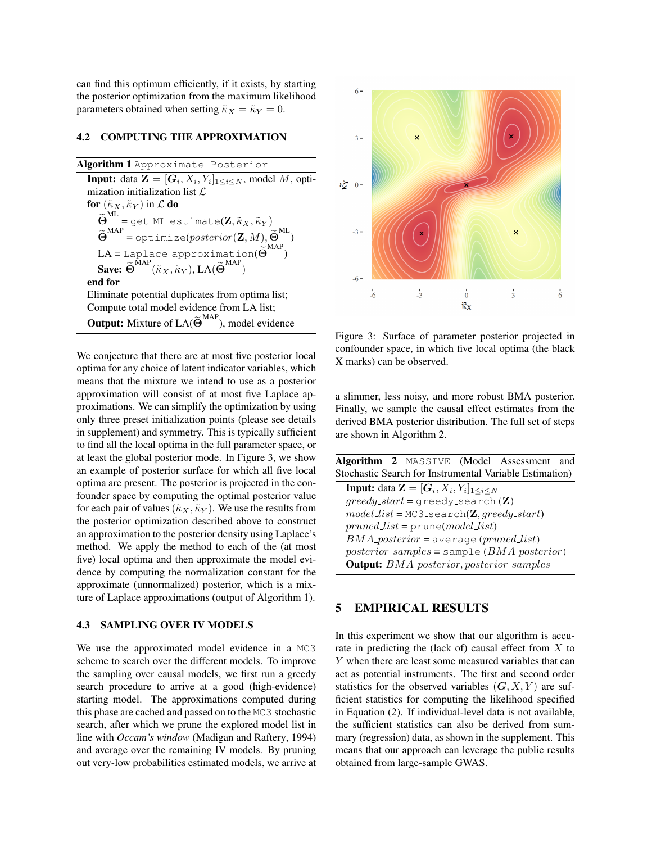can find this optimum efficiently, if it exists, by starting the posterior optimization from the maximum likelihood parameters obtained when setting  $\tilde{\kappa}_X = \tilde{\kappa}_Y = 0$ .

#### 4.2 COMPUTING THE APPROXIMATION

Algorithm 1 Approximate Posterior **Input:** data  $\mathbf{Z} = [\mathbf{G}_i, X_i, Y_i]_{1 \leq i \leq N}$ , model M, optimization initialization list  $\mathcal L$ for  $(\tilde{\kappa}_X, \tilde{\kappa}_Y)$  in  $\mathcal L$  do  $\widetilde{\Theta}^{\text{ML}}$  = get ML estimate $(\mathbf{Z}, \widetilde{\kappa}_X, \widetilde{\kappa}_Y)$  $\widetilde{\Theta}^{MAP} = \text{optimize}(posterior(\mathbf{Z}, M), \widetilde{\Theta}^{ML})$ LA = Laplace\_approximation( $\widetilde{\Theta}^{MAP}$ ) **Save:**  $\widetilde{\Theta}^{MAP}(\widetilde{\kappa}_X, \widetilde{\kappa}_Y), LA(\widetilde{\Theta}^{MAP})$ end for Eliminate potential duplicates from optima list; Compute total model evidence from LA list; **Output:** Mixture of  $LA(\widetilde{\Theta}^{MAP})$ , model evidence

We conjecture that there are at most five posterior local optima for any choice of latent indicator variables, which means that the mixture we intend to use as a posterior approximation will consist of at most five Laplace approximations. We can simplify the optimization by using only three preset initialization points (please see details in supplement) and symmetry. This is typically sufficient to find all the local optima in the full parameter space, or at least the global posterior mode. In Figure 3, we show an example of posterior surface for which all five local optima are present. The posterior is projected in the confounder space by computing the optimal posterior value for each pair of values ( $\tilde{\kappa}_X, \tilde{\kappa}_Y$ ). We use the results from the posterior optimization described above to construct an approximation to the posterior density using Laplace's method. We apply the method to each of the (at most five) local optima and then approximate the model evidence by computing the normalization constant for the approximate (unnormalized) posterior, which is a mixture of Laplace approximations (output of Algorithm 1).

#### 4.3 SAMPLING OVER IV MODELS

We use the approximated model evidence in a MC3 scheme to search over the different models. To improve the sampling over causal models, we first run a greedy search procedure to arrive at a good (high-evidence) starting model. The approximations computed during this phase are cached and passed on to the MC3 stochastic search, after which we prune the explored model list in line with *Occam's window* (Madigan and Raftery, 1994) and average over the remaining IV models. By pruning out very-low probabilities estimated models, we arrive at



Figure 3: Surface of parameter posterior projected in confounder space, in which five local optima (the black X marks) can be observed.

a slimmer, less noisy, and more robust BMA posterior. Finally, we sample the causal effect estimates from the derived BMA posterior distribution. The full set of steps are shown in Algorithm 2.

Algorithm 2 MASSIVE (Model Assessment and Stochastic Search for Instrumental Variable Estimation) **Input:** data  $\mathbf{Z} = [G_i, X_i, Y_i]_{1 \leq i \leq N}$  $greedy.start = greedy-search(Z)$  $model\_list = MC3$  search( $\mathbf{Z}, greedy\_start$ )  $pruned\_list = \text{prune}(model\_list)$  $BMA_{\text{}}$  *posterior* = average(pruned\_list)  $posterior\_samples = sample(BMA_{posterior})$ **Output:** BMA posterior, posterior\_samples

# 5 EMPIRICAL RESULTS

In this experiment we show that our algorithm is accurate in predicting the (lack of) causal effect from  $X$  to Y when there are least some measured variables that can act as potential instruments. The first and second order statistics for the observed variables  $(G, X, Y)$  are sufficient statistics for computing the likelihood specified in Equation (2). If individual-level data is not available, the sufficient statistics can also be derived from summary (regression) data, as shown in the supplement. This means that our approach can leverage the public results obtained from large-sample GWAS.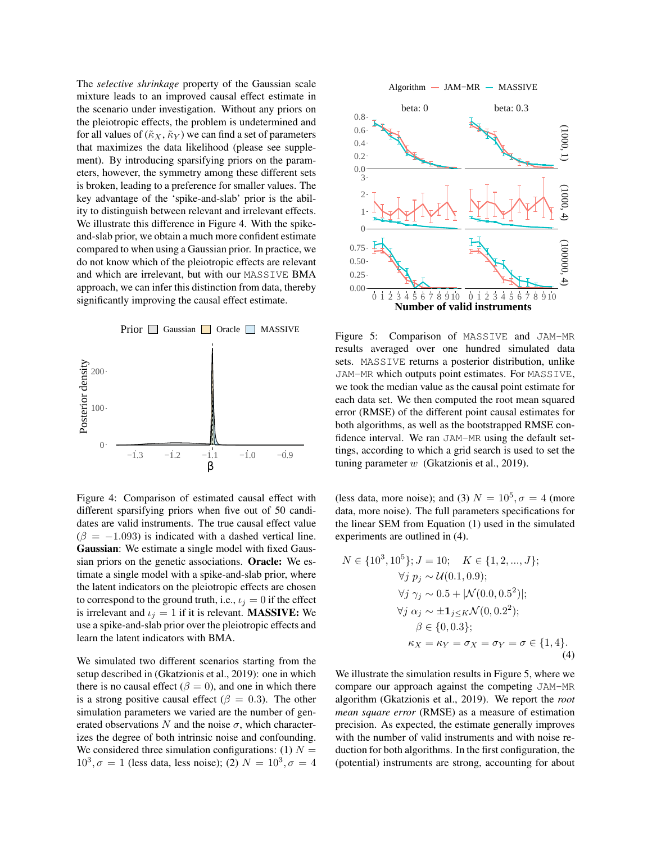The *selective shrinkage* property of the Gaussian scale mixture leads to an improved causal effect estimate in the scenario under investigation. Without any priors on the pleiotropic effects, the problem is undetermined and for all values of  $(\tilde{\kappa}_X, \tilde{\kappa}_Y)$  we can find a set of parameters that maximizes the data likelihood (please see supplement). By introducing sparsifying priors on the parameters, however, the symmetry among these different sets is broken, leading to a preference for smaller values. The key advantage of the 'spike-and-slab' prior is the ability to distinguish between relevant and irrelevant effects. We illustrate this difference in Figure 4. With the spikeand-slab prior, we obtain a much more confident estimate compared to when using a Gaussian prior. In practice, we do not know which of the pleiotropic effects are relevant and which are irrelevant, but with our MASSIVE BMA approach, we can infer this distinction from data, thereby significantly improving the causal effect estimate.



Figure 4: Comparison of estimated causal effect with different sparsifying priors when five out of 50 candidates are valid instruments. The true causal effect value  $(\beta = -1.093)$  is indicated with a dashed vertical line. Gaussian: We estimate a single model with fixed Gaussian priors on the genetic associations. Oracle: We estimate a single model with a spike-and-slab prior, where the latent indicators on the pleiotropic effects are chosen to correspond to the ground truth, i.e.,  $\iota_j = 0$  if the effect is irrelevant and  $\iota_j = 1$  if it is relevant. **MASSIVE:** We use a spike-and-slab prior over the pleiotropic effects and learn the latent indicators with BMA.

We simulated two different scenarios starting from the setup described in (Gkatzionis et al., 2019): one in which there is no causal effect ( $\beta = 0$ ), and one in which there is a strong positive causal effect ( $\beta = 0.3$ ). The other simulation parameters we varied are the number of generated observations N and the noise  $\sigma$ , which characterizes the degree of both intrinsic noise and confounding. We considered three simulation configurations: (1)  $N =$  $10^3, \sigma = 1$  (less data, less noise); (2)  $N = 10^3, \sigma = 4$ 





Figure 5: Comparison of MASSIVE and JAM-MR results averaged over one hundred simulated data sets. MASSIVE returns a posterior distribution, unlike JAM-MR which outputs point estimates. For MASSIVE, we took the median value as the causal point estimate for each data set. We then computed the root mean squared error (RMSE) of the different point causal estimates for both algorithms, as well as the bootstrapped RMSE confidence interval. We ran JAM-MR using the default settings, according to which a grid search is used to set the tuning parameter  $w$  (Gkatzionis et al., 2019).

(less data, more noise); and (3)  $N = 10^5$ ,  $\sigma = 4$  (more data, more noise). The full parameters specifications for the linear SEM from Equation (1) used in the simulated experiments are outlined in (4).

$$
N \in \{10^3, 10^5\}; J = 10; \quad K \in \{1, 2, ..., J\};
$$
  
\n
$$
\forall j \ p_j \sim \mathcal{U}(0.1, 0.9);
$$
  
\n
$$
\forall j \ \gamma_j \sim 0.5 + |\mathcal{N}(0.0, 0.5^2)|;
$$
  
\n
$$
\forall j \ \alpha_j \sim \pm \mathbf{1}_{j \leq K} \mathcal{N}(0, 0.2^2);
$$
  
\n
$$
\beta \in \{0, 0.3\};
$$
  
\n
$$
\kappa_X = \kappa_Y = \sigma_X = \sigma_Y = \sigma \in \{1, 4\}.
$$
  
\n(4)

We illustrate the simulation results in Figure 5, where we compare our approach against the competing JAM-MR algorithm (Gkatzionis et al., 2019). We report the *root mean square error* (RMSE) as a measure of estimation precision. As expected, the estimate generally improves with the number of valid instruments and with noise reduction for both algorithms. In the first configuration, the (potential) instruments are strong, accounting for about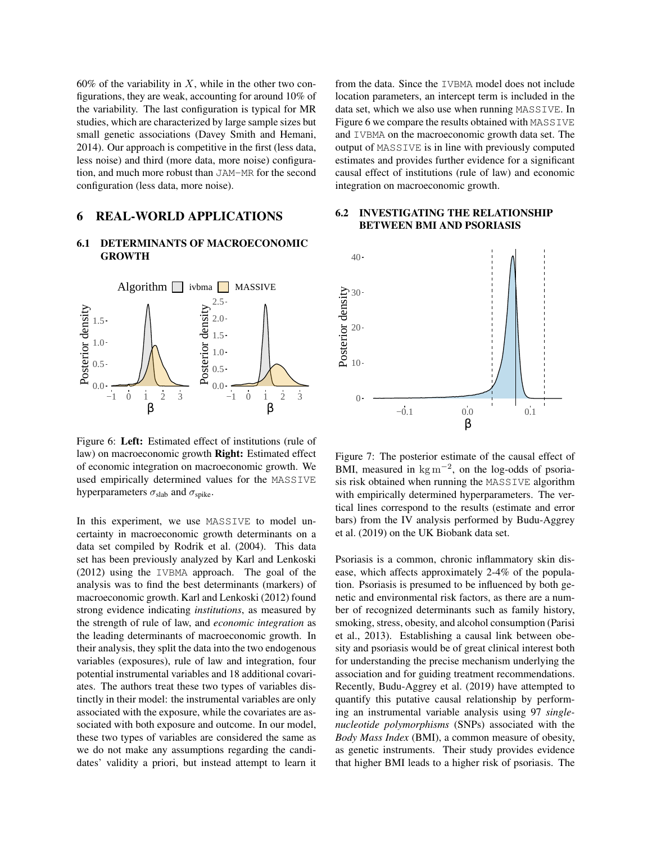60% of the variability in X, while in the other two configurations, they are weak, accounting for around 10% of the variability. The last configuration is typical for MR studies, which are characterized by large sample sizes but small genetic associations (Davey Smith and Hemani, 2014). Our approach is competitive in the first (less data, less noise) and third (more data, more noise) configuration, and much more robust than JAM-MR for the second configuration (less data, more noise).

# 6 REAL-WORLD APPLICATIONS

### 6.1 DETERMINANTS OF MACROECONOMIC GROWTH



Figure 6: Left: Estimated effect of institutions (rule of law) on macroeconomic growth **Right:** Estimated effect of economic integration on macroeconomic growth. We used empirically determined values for the MASSIVE hyperparameters  $\sigma_{\text{slab}}$  and  $\sigma_{\text{spike}}$ .

In this experiment, we use MASSIVE to model uncertainty in macroeconomic growth determinants on a data set compiled by Rodrik et al. (2004). This data set has been previously analyzed by Karl and Lenkoski (2012) using the IVBMA approach. The goal of the analysis was to find the best determinants (markers) of macroeconomic growth. Karl and Lenkoski (2012) found strong evidence indicating *institutions*, as measured by the strength of rule of law, and *economic integration* as the leading determinants of macroeconomic growth. In their analysis, they split the data into the two endogenous variables (exposures), rule of law and integration, four potential instrumental variables and 18 additional covariates. The authors treat these two types of variables distinctly in their model: the instrumental variables are only associated with the exposure, while the covariates are associated with both exposure and outcome. In our model, these two types of variables are considered the same as we do not make any assumptions regarding the candidates' validity a priori, but instead attempt to learn it from the data. Since the IVBMA model does not include location parameters, an intercept term is included in the data set, which we also use when running MASSIVE. In Figure 6 we compare the results obtained with MASSIVE and IVBMA on the macroeconomic growth data set. The output of MASSIVE is in line with previously computed estimates and provides further evidence for a significant causal effect of institutions (rule of law) and economic integration on macroeconomic growth.

### 6.2 INVESTIGATING THE RELATIONSHIP BETWEEN BMI AND PSORIASIS



Figure 7: The posterior estimate of the causal effect of BMI, measured in  $\text{kg m}^{-2}$ , on the log-odds of psoriasis risk obtained when running the MASSIVE algorithm with empirically determined hyperparameters. The vertical lines correspond to the results (estimate and error bars) from the IV analysis performed by Budu-Aggrey et al. (2019) on the UK Biobank data set.

Psoriasis is a common, chronic inflammatory skin disease, which affects approximately 2-4% of the population. Psoriasis is presumed to be influenced by both genetic and environmental risk factors, as there are a number of recognized determinants such as family history, smoking, stress, obesity, and alcohol consumption (Parisi et al., 2013). Establishing a causal link between obesity and psoriasis would be of great clinical interest both for understanding the precise mechanism underlying the association and for guiding treatment recommendations. Recently, Budu-Aggrey et al. (2019) have attempted to quantify this putative causal relationship by performing an instrumental variable analysis using 97 *singlenucleotide polymorphisms* (SNPs) associated with the *Body Mass Index* (BMI), a common measure of obesity, as genetic instruments. Their study provides evidence that higher BMI leads to a higher risk of psoriasis. The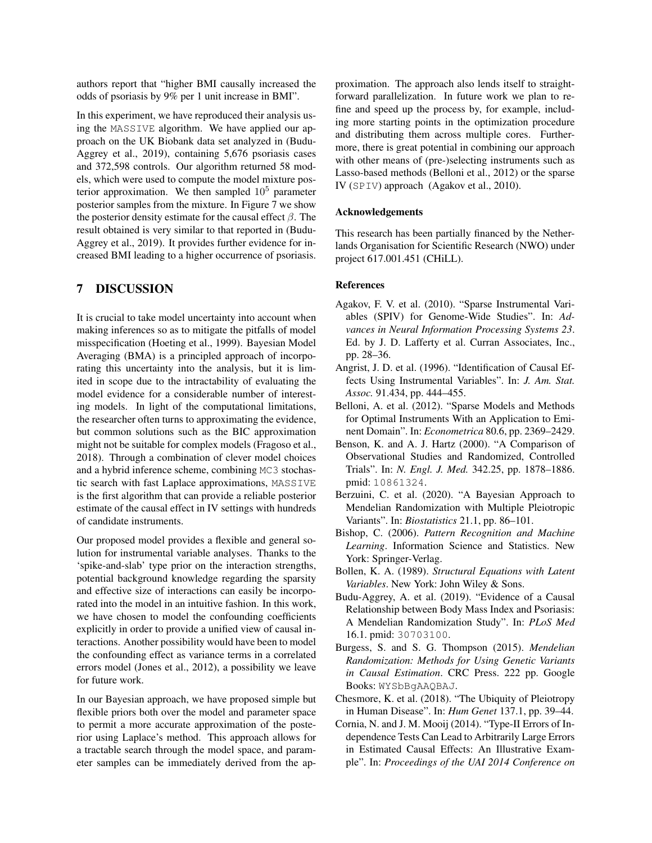authors report that "higher BMI causally increased the odds of psoriasis by 9% per 1 unit increase in BMI".

In this experiment, we have reproduced their analysis using the MASSIVE algorithm. We have applied our approach on the UK Biobank data set analyzed in (Budu-Aggrey et al., 2019), containing 5,676 psoriasis cases and 372,598 controls. Our algorithm returned 58 models, which were used to compute the model mixture posterior approximation. We then sampled  $10<sup>5</sup>$  parameter posterior samples from the mixture. In Figure 7 we show the posterior density estimate for the causal effect  $\beta$ . The result obtained is very similar to that reported in (Budu-Aggrey et al., 2019). It provides further evidence for increased BMI leading to a higher occurrence of psoriasis.

### 7 DISCUSSION

It is crucial to take model uncertainty into account when making inferences so as to mitigate the pitfalls of model misspecification (Hoeting et al., 1999). Bayesian Model Averaging (BMA) is a principled approach of incorporating this uncertainty into the analysis, but it is limited in scope due to the intractability of evaluating the model evidence for a considerable number of interesting models. In light of the computational limitations, the researcher often turns to approximating the evidence, but common solutions such as the BIC approximation might not be suitable for complex models (Fragoso et al., 2018). Through a combination of clever model choices and a hybrid inference scheme, combining MC3 stochastic search with fast Laplace approximations, MASSIVE is the first algorithm that can provide a reliable posterior estimate of the causal effect in IV settings with hundreds of candidate instruments.

Our proposed model provides a flexible and general solution for instrumental variable analyses. Thanks to the 'spike-and-slab' type prior on the interaction strengths, potential background knowledge regarding the sparsity and effective size of interactions can easily be incorporated into the model in an intuitive fashion. In this work, we have chosen to model the confounding coefficients explicitly in order to provide a unified view of causal interactions. Another possibility would have been to model the confounding effect as variance terms in a correlated errors model (Jones et al., 2012), a possibility we leave for future work.

In our Bayesian approach, we have proposed simple but flexible priors both over the model and parameter space to permit a more accurate approximation of the posterior using Laplace's method. This approach allows for a tractable search through the model space, and parameter samples can be immediately derived from the approximation. The approach also lends itself to straightforward parallelization. In future work we plan to refine and speed up the process by, for example, including more starting points in the optimization procedure and distributing them across multiple cores. Furthermore, there is great potential in combining our approach with other means of (pre-)selecting instruments such as Lasso-based methods (Belloni et al., 2012) or the sparse IV (SPIV) approach (Agakov et al., 2010).

#### Acknowledgements

This research has been partially financed by the Netherlands Organisation for Scientific Research (NWO) under project 617.001.451 (CHiLL).

#### References

- Agakov, F. V. et al. (2010). "Sparse Instrumental Variables (SPIV) for Genome-Wide Studies". In: *Advances in Neural Information Processing Systems 23*. Ed. by J. D. Lafferty et al. Curran Associates, Inc., pp. 28–36.
- Angrist, J. D. et al. (1996). "Identification of Causal Effects Using Instrumental Variables". In: *J. Am. Stat. Assoc.* 91.434, pp. 444–455.
- Belloni, A. et al. (2012). "Sparse Models and Methods for Optimal Instruments With an Application to Eminent Domain". In: *Econometrica* 80.6, pp. 2369–2429.
- Benson, K. and A. J. Hartz (2000). "A Comparison of Observational Studies and Randomized, Controlled Trials". In: *N. Engl. J. Med.* 342.25, pp. 1878–1886. pmid: 10861324.
- Berzuini, C. et al. (2020). "A Bayesian Approach to Mendelian Randomization with Multiple Pleiotropic Variants". In: *Biostatistics* 21.1, pp. 86–101.
- Bishop, C. (2006). *Pattern Recognition and Machine Learning*. Information Science and Statistics. New York: Springer-Verlag.
- Bollen, K. A. (1989). *Structural Equations with Latent Variables*. New York: John Wiley & Sons.
- Budu-Aggrey, A. et al. (2019). "Evidence of a Causal Relationship between Body Mass Index and Psoriasis: A Mendelian Randomization Study". In: *PLoS Med* 16.1. pmid: 30703100.
- Burgess, S. and S. G. Thompson (2015). *Mendelian Randomization: Methods for Using Genetic Variants in Causal Estimation*. CRC Press. 222 pp. Google Books: WYSbBgAAQBAJ.
- Chesmore, K. et al. (2018). "The Ubiquity of Pleiotropy in Human Disease". In: *Hum Genet* 137.1, pp. 39–44.
- Cornia, N. and J. M. Mooij (2014). "Type-II Errors of Independence Tests Can Lead to Arbitrarily Large Errors in Estimated Causal Effects: An Illustrative Example". In: *Proceedings of the UAI 2014 Conference on*